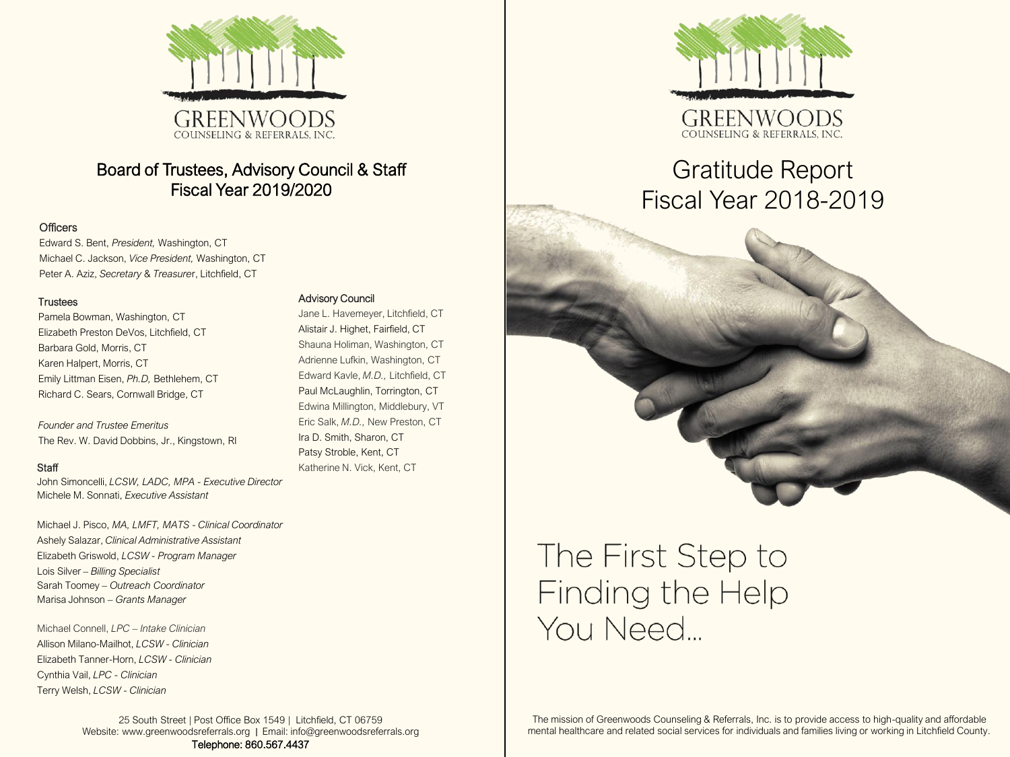

### Board of Trustees, Advisory Council & Staff Fiscal Year 2019/2020

### **Officers**

Edward S. Bent, *President,* Washington, CT Michael C. Jackson, *Vice President,* Washington, CT Peter A. Aziz, *Secretary* & *Treasure*r, Litchfield, CT

#### **Trustees**

Pamela Bowman, Washington, CT Elizabeth Preston DeVos, Litchfield, CT Barbara Gold, Morris, CT Karen Halpert, Morris, CT Emily Littman Eisen, *Ph.D,* Bethlehem, CT Richard C. Sears, Cornwall Bridge, CT

*Founder and Trustee Emeritus* The Rev. W. David Dobbins, Jr., Kingstown, RI

#### **Staff**

John Simoncelli, *LCSW, LADC, MPA - Executive Director* Michele M. Sonnati, *Executive Assistant*

Michael J. Pisco, *MA, LMFT, MATS* - *Clinical Coordinator* Ashely Salazar, *Clinical Administrative Assistant* Elizabeth Griswold, *LCSW - Program Manager* Lois Silver – *Billing Specialist* Sarah Toomey *– Outreach Coordinator* Marisa Johnson *– Grants Manager*

Michael Connell, *LPC – Intake Clinician* Allison Milano-Mailhot, *LCSW - Clinician* Elizabeth Tanner-Horn, *LCSW - Clinician* Cynthia Vail, *LPC - Clinician* Terry Welsh, *LCSW - Clinician*

### Advisory Council

Jane L. Havemeyer, Litchfield, CT Alistair J. Highet, Fairfield, CT Shauna Holiman, Washington, CT Adrienne Lufkin, Washington, CT Edward Kavle, *M.D.,* Litchfield, CT Paul McLaughlin, Torrington, CT Edwina Millington, Middlebury, VT Eric Salk, *M.D.,* New Preston, CT Ira D. Smith, Sharon, CT Patsy Stroble, Kent, CT Katherine N. Vick, Kent, CT



## Gratitude Report Fiscal Year 2018-2019

# The First Step to Finding the Help You Need...

The mission of Greenwoods Counseling & Referrals, Inc. is to provide access to high-quality and affordable mental healthcare and related social services for individuals and families living or working in Litchfield County.

25 South Street | Post Office Box 1549 | Litchfield, CT 06759 Website: www.greenwoodsreferrals.org | Email: info@greenwoodsreferrals.org Telephone: 860.567.4437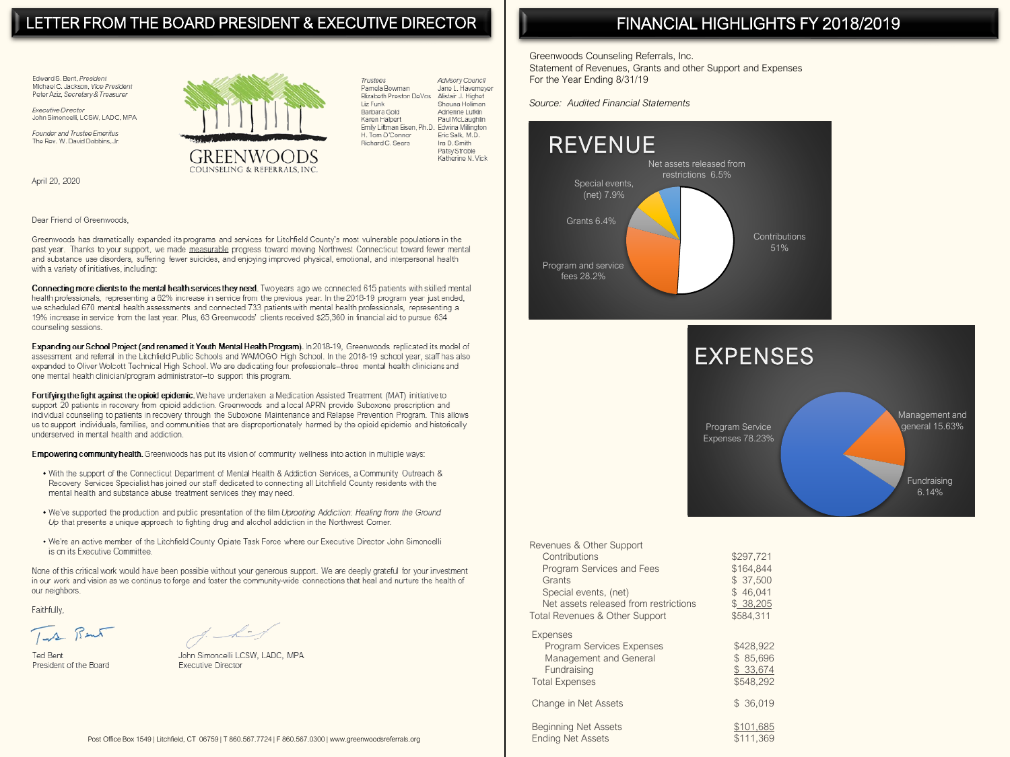### LETTER FROM THE BOARD PRESIDENT & EXECUTIVE DIRECTOR

Edward S. Bent, President Michael C. Jackson, Vice President Peter Aziz, Secretary & Treasurer

Executive Director John Simoncelli, LCSW, LADC, MPA

Founder and Trustee Emeritus The Rev. W. David Dobbins, Jr.

April 20, 2020



Advisory Council Trustees Pamela Bowman Jane L. Havemeyer Elizabeth Preston DeVos Alistair J. Highet Shauna Holiman Liz Funk Barbara Gold Adrienne Lufkin Karen Halpert Paul McLaughlin Emily Littman Eisen, Ph.D. Edwina Millington H. Tom O'Connor Eric Salk, M.D. Richard C. Sears Ira D. Smith Patsy Stroble Katherine N Vick

#### Dear Friend of Greenwoods.

Greenwoods has dramatically expanded its programs and services for Litchfield County's most vulnerable populations in the past year. Thanks to your support, we made measurable progress toward moving Northwest Connecticut toward fewer mental and substance use disorders, suffering fewer suicides, and enjoying improved physical, emotional, and interpersonal health with a variety of initiatives, including:

Connecting more clients to the mental health services they need. Two years ago we connected 615 patients with skilled mental health professionals, representing a 62% increase in service from the previous year. In the 2018-19 program year just ended, we scheduled 670 mental health assessments and connected 733 patients with mental health professionals, representing a 19% increase in service from the last year. Plus, 63 Greenwoods' clients received \$25,360 in financial aid to pursue 634 counseling sessions.

Expanding our School Project (and renamed it Youth Mental Health Program). In 2018-19. Greenwoods replicated its model of assessment and referral in the Litchfield Public Schools and WAMOGO High School. In the 2018-19 school year, staff has also expanded to Oliver Wolcott Technical High School. We are dedicating four professionals--three mental health clinicians and one mental health clinician/program administrator--to support this program.

Fortifying the fight against the opioid epidemic. We have undertaken a Medication Assisted Treatment (MAT) initiative to support 20 patients in recovery from opioid addiction. Greenwoods and a local APRN provide Suboxone prescription and individual counseling to patients in recovery through the Suboxone Maintenance and Relapse Prevention Program. This allows us to support individuals, families, and communities that are disproportionately harmed by the opioid epidemic and historically underserved in mental health and addiction.

Empowering community health. Greenwoods has put its vision of community wellness into action in multiple ways:

- . With the support of the Connecticut Department of Mental Health & Addiction Services, a Community Outreach & Recovery Services Specialist has joined our staff dedicated to connecting all Litchfield County residents with the mental health and substance abuse treatment services they may need.
- . We've supported the production and public presentation of the film Uprooting Addiction: Healing from the Ground Up that presents a unique approach to fighting drug and alcohol addiction in the Northwest Corner.
- . We're an active member of the Litchfield County Opiate Task Force where our Executive Director John Simoncelli is on its Executive Committee.

None of this critical work would have been possible without your generous support. We are deeply grateful for your investment in our work and vision as we continue to forge and foster the community-wide connections that heal and nurture the health of our neighbors.

Faithfully,

Turk Bant

 $\overline{\phantom{a}}$ 

**Ted Rent** President of the Board

John Simoncelli LCSW, LADC, MPA **Executive Director** 

### FINANCIAL HIGHLIGHTS FY 2018/2019

Greenwoods Counseling Referrals, Inc. Statement of Revenues, Grants and other Support and Expenses For the Year Ending 8/31/19

Source: Audited Financial Statements





| levenues & Other Support<br>Contributions<br>Program Services and Fees<br>Grants<br>Special events, (net)<br>Net assets released from restrictions<br>otal Revenues & Other Support | \$297.721<br>\$164,844<br>\$ 37.500<br>\$46,041<br>\$ 38,205<br>\$584,311 |
|-------------------------------------------------------------------------------------------------------------------------------------------------------------------------------------|---------------------------------------------------------------------------|
| Expenses<br>Program Services Expenses<br>Management and General<br>Fundraising<br><b>Total Expenses</b>                                                                             | \$428,922<br>\$85.696<br>\$ 33,674<br>\$548.292                           |
| Change in Net Assets                                                                                                                                                                | \$ 36,019                                                                 |
| Beginning Net Assets<br>Endina Net Assets                                                                                                                                           | \$101,685<br>\$111.369                                                    |

 $\overline{R}$ 

F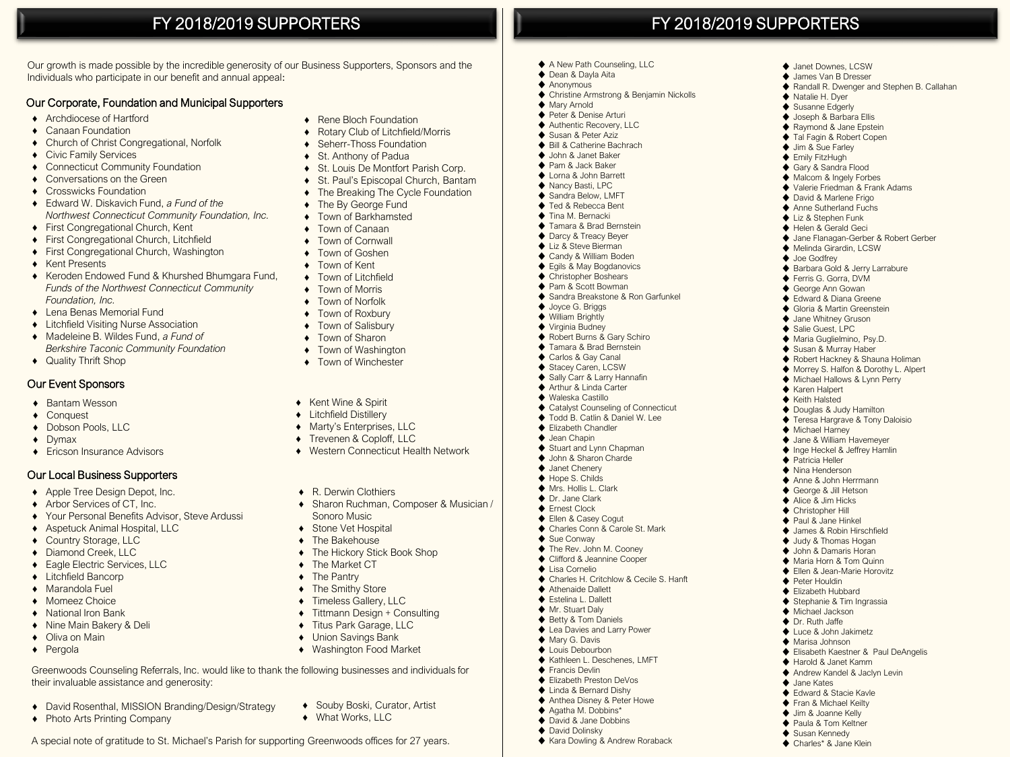### FY 2018/2019 SUPPORTERS

Our growth is made possible by the incredible generosity of our Business Supporters, Sponsors and the Individuals who participate in our benefit and annual appeal:

### Our Corporate, Foundation and Municipal Supporters

- ♦ Archdiocese of Hartford
- ♦ Canaan Foundation
- ♦ Church of Christ Congregational, Norfolk
- ♦ Civic Family Services
- ♦ Connecticut Community Foundation
- ♦ Conversations on the Green
- ♦ Crosswicks Foundation
- ♦ Edward W. Diskavich Fund, *a Fund of the Northwest Connecticut Community Foundation, Inc.*
- ♦ First Congregational Church, Kent
- ♦ First Congregational Church, Litchfield
- ♦ First Congregational Church, Washington
- ♦ Kent Presents
- ♦ Keroden Endowed Fund & Khurshed Bhumgara Fund, *Funds of the Northwest Connecticut Community Foundation, Inc.*
- ♦ Lena Benas Memorial Fund
- ♦ Litchfield Visiting Nurse Association
- ♦ Madeleine B. Wildes Fund, *a Fund of Berkshire Taconic Community Foundation*
- ♦ Quality Thrift Shop

### Our Event Sponsors

- ♦ Bantam Wesson
- ♦ Conquest
- ♦ Dobson Pools, LLC
- ♦ Dymax
- ♦ Ericson Insurance Advisors

#### Our Local Business Supporters

- ♦ Apple Tree Design Depot, Inc.
- ♦ Arbor Services of CT, Inc.
- ♦ Your Personal Benefits Advisor, Steve Ardussi
- ♦ Aspetuck Animal Hospital, LLC
- ♦ Country Storage, LLC
- ♦ Diamond Creek, LLC
- ♦ Eagle Electric Services, LLC
- ♦ Litchfield Bancorp
- ♦ Marandola Fuel
- ♦ Momeez Choice
- ♦ National Iron Bank
- ♦ Nine Main Bakery & Deli

♦ Photo Arts Printing Company

- ♦ Oliva on Main
- ♦ Pergola
- ♦ Rene Bloch Foundation
- **Rotary Club of Litchfield/Morris** 
	- ♦ Seherr-Thoss Foundation
	- ♦ St. Anthony of Padua
	- ♦ St. Louis De Montfort Parish Corp.
	- ♦ St. Paul's Episcopal Church, Bantam
	- ♦ The Breaking The Cycle Foundation
	- ♦ The By George Fund
	- ♦ Town of Barkhamsted
	- ♦ Town of Canaan
	- ♦ Town of Cornwall
	- Town of Goshen
	- ♦ Town of Kent
	- ♦ Town of Litchfield
	- ♦ Town of Morris
	- ♦ Town of Norfolk
	-
	- ♦ Town of Roxbury
	- ♦ Town of Salisbury
	- ♦ Town of Sharon
	- ♦ Town of Washington
	- ♦ Town of Winchester
- ♦ Kent Wine & Spirit
- ♦ Litchfield Distillery
- ♦ Marty's Enterprises, LLC
- ♦ Trevenen & Coploff, LLC
- ♦ Western Connecticut Health Network
- ♦ R. Derwin Clothiers
- ♦ Sharon Ruchman, Composer & Musician / Sonoro Music
- ♦ Stone Vet Hospital
- ♦ The Bakehouse
- ♦ The Hickory Stick Book Shop
- ◆ The Market CT
- ◆ The Pantry
- 
- ♦ The Smithy Store
- ♦ Timeless Gallery, LLC
- ♦ Tittmann Design + Consulting
- ♦ Titus Park Garage, LLC

♦ Souby Boski, Curator, Artist

- **Union Savings Bank**
- ♦ Washington Food Market

Greenwoods Counseling Referrals, Inc. would like to thank the following businesses and individuals for their invaluable assistance and generosity:

- ♦ David Rosenthal, MISSION Branding/Design/Strategy
	- ♦ What Works, LLC

### A special note of gratitude to St. Michael's Parish for supporting Greenwoods offices for 27 years.

#### ♦ Dean & Dayla Aita  $\triangle$  Anonymous

FY 2018/2019 SUPPORTERS

◆ Janet Downes, LCSW ♦ James Van B Dresser

♦ Natalie H. Dyer ◆ Susanne Edgerly ♦ Joseph & Barbara Ellis ♦ Raymond & Jane Epstein ♦ Tal Fagin & Robert Copen ♦ Jim & Sue Farley ♦ Emily FitzHugh ◆ Gary & Sandra Flood ♦ Malcom & Ingely Forbes ♦ Valerie Friedman & Frank Adams ♦ David & Marlene Frigo ♦ Anne Sutherland Fuchs ♦ Liz & Stephen Funk ♦ Helen & Gerald Geci

♦ Randall R. Dwenger and Stephen B. Callahan

♦ Jane Flanagan-Gerber & Robert Gerber

♦ Melinda Girardin, LCSW ♦ Joe Godfrey

♦ Karen Halpert ♦ Keith Halsted ♦ Douglas & Judy Hamilton ◆ Teresa Hargrave & Tony Daloisio

♦ Michael Harney ♦ Jane & William Havemeyer ♦ Inge Heckel & Jeffrey Hamlin ♦ Patricia Heller ♦ Nina Henderson ♦ Anne & John Herrmann ♦ George & Jill Hetson ♦ Alice & Jim Hicks ♦ Christopher Hill ♦ Paul & Jane Hinkel ♦ James & Robin Hirschfield ♦ Judy & Thomas Hogan ♦ John & Damaris Horan ♦ Maria Horn & Tom Quinn ♦ Ellen & Jean-Marie Horovitz ♦ Peter Houldin ♦ Elizabeth Hubbard ♦ Stephanie & Tim Ingrassia ♦ Michael Jackson ♦ Dr. Ruth Jaffe ♦ Luce & John Jakimetz ♦ Marisa Johnson

♦ Elisabeth Kaestner & Paul DeAngelis

♦ Harold & Janet Kamm ♦ Andrew Kandel & Jaclyn Levin

♦ Jane Kates ♦ Edward & Stacie Kavle ◆ Fran & Michael Keilty ♦ Jim & Joanne Kelly ◆ Paula & Tom Keltner ♦ Susan Kennedy ♦ Charles\* & Jane Klein

◆ Barbara Gold & Jerry Larrabure ♦ Ferris G. Gorra, DVM ♦ George Ann Gowan ♦ Edward & Diana Greene ♦ Gloria & Martin Greenstein ♦ Jane Whitney Gruson ◆ Salie Guest, LPC ♦ Maria Guglielmino, Psy.D. ♦ Susan & Murray Haber ◆ Robert Hackney & Shauna Holiman ♦ Morrey S. Halfon & Dorothy L. Alpert ♦ Michael Hallows & Lynn Perry

- ♦ Christine Armstrong & Benjamin Nickolls
- ♦ Mary Arnold
- ♦ Peter & Denise Arturi
- ♦ Authentic Recovery, LLC
- ♦ Susan & Peter Aziz
- ♦ Bill & Catherine Bachrach ♦ John & Janet Baker

♦ A New Path Counseling, LLC

- ♦ Pam & Jack Baker
- ♦ Lorna & John Barrett
- ♦ Nancy Basti, LPC
- ◆ Sandra Below, LMFT
- ♦ Ted & Rebecca Bent
- ♦ Tina M. Bernacki

◆ Joyce G. Briggs ◆ William Brightly ♦ Virginia Budney ◆ Robert Burns & Gary Schiro ◆ Tamara & Brad Bernstein ♦ Carlos & Gay Canal ◆ Stacey Caren, LCSW ◆ Sally Carr & Larry Hannafin ♦ Arthur & Linda Carter ♦ Waleska Castillo

♦ Sue Conway ◆ The Rev. John M. Cooney ♦ Clifford & Jeannine Cooper ♦ Lisa Cornelio

♦ Athenaide Dallett ◆ Estelina L. Dallett ♦ Mr. Stuart Daly ♦ Betty & Tom Daniels ♦ Lea Davies and Larry Power ◆ Mary G. Davis ◆ Louis Debourbon ♦ Kathleen L. Deschenes, LMFT

♦ Francis Devlin ♦ Elizabeth Preston DeVos ♦ Linda & Bernard Dishy ♦ Anthea Disney & Peter Howe ♦ Agatha M. Dobbins\* ◆ David & Jane Dobbins ◆ David Dolinsky

♦ Tamara & Brad Bernstein ◆ Darcy & Treacy Beyer ◆ Liz & Steve Bierman

♦ Candy & William Boden ◆ Fails & May Bogdanovics ◆ Christopher Boshears ♦ Pam & Scott Bowman ♦ Sandra Breakstone & Ron Garfunkel

♦ Catalyst Counseling of Connecticut ♦ Todd B. Catlin & Daniel W. Lee ♦ Elizabeth Chandler ♦ Jean Chapin ◆ Stuart and Lynn Chapman ♦ John & Sharon Charde ♦ Janet Chenery ◆ Hope S. Childs ♦ Mrs. Hollis L. Clark ♦ Dr. Jane Clark ◆ Ernest Clock ◆ Fllen & Casey Cogut ◆ Charles Conn & Carole St. Mark

♦ Charles H. Critchlow & Cecile S. Hanft

♦ Kara Dowling & Andrew Roraback